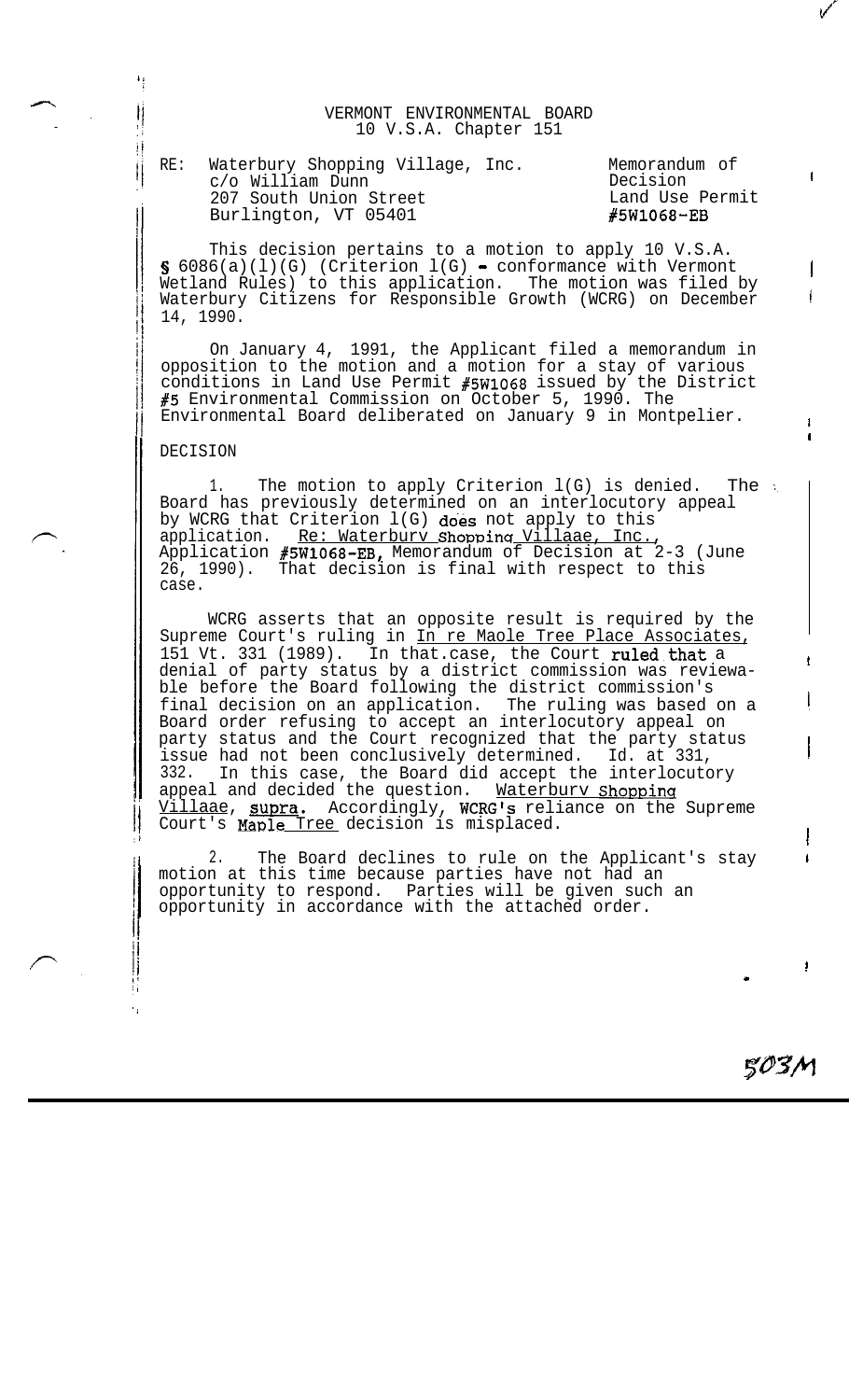VERMONT ENVIRONMENTAL BOARD 10 V.S.A. Chapter 151

RE: Waterbury Shopping Village, Inc. Memorandum of c/o William Dunn Decision 207 South Union Street Land Use Permit Burlington, VT 05401 **#5W1068-EB** 

This decision pertains to a motion to apply 10 V.S.A.  $\S$  6086(a)(l)(G) (Criterion l(G) - conformance with Vermont Wetland Rules) to this application. The motion was filed by Waterbury Citizens for Responsible Growth (WCRG) on December 14, 1990.

On January 4, 1991, the Applicant filed a memorandum in opposition to the motion and a motion for a stay of various conditions in Land Use Permit #5WlO68 issued by the District #5 Environmental Commission on October 5, 1990. The Environmental Board deliberated on January 9 in Montpelier.

## DECISION

 $\begin{matrix} \mid \\ \mid \\ \mid \end{matrix}$ įÌ jj

> 1. The motion to apply Criterion  $l(G)$  is denied. The  $\in$ Board has previously determined on an interlocutory appeal by WCRG that Criterion  $l(G)$  does not apply to this application. Re: Waterbury Shopping Villaae, Inc., Application #5W1068-EB, Memorandum of Decision at 2-3 (June 26, 1990). That decision is final with respect to this case.

WCRG asserts that an opposite result is required by the Supreme Court's ruling in In re Maole Tree Place Associates, 151 Vt. 331 (1989). In that.case, the Court ruled that a denial of party status by a district commission was reviewable before the Board following the district commission's final decision on an application. The ruling was based on a Board order refusing to accept an interlocutory appeal on party status and the Court recognized that the party status issue had not been conclusively determined. Id. at 331, 332. In this case, the Board did accept the interlocutory appeal and decided the question. Waterbury Shopping<br>Villaae, supra. Accordingly, WCRG's reliance on the Supreme Villaae, supra. Accordingly, WCRG's reliance on the Supreme Court's Maple Tree decision is misplaced.

2. The Board declines to rule on the Applicant's stay motion at this time because parties have not had an opportunity to respond. Parties will be given such an opportunity in accordance with the attached order.

503M

.

I

I

!

/

I

(

. .

I I

!